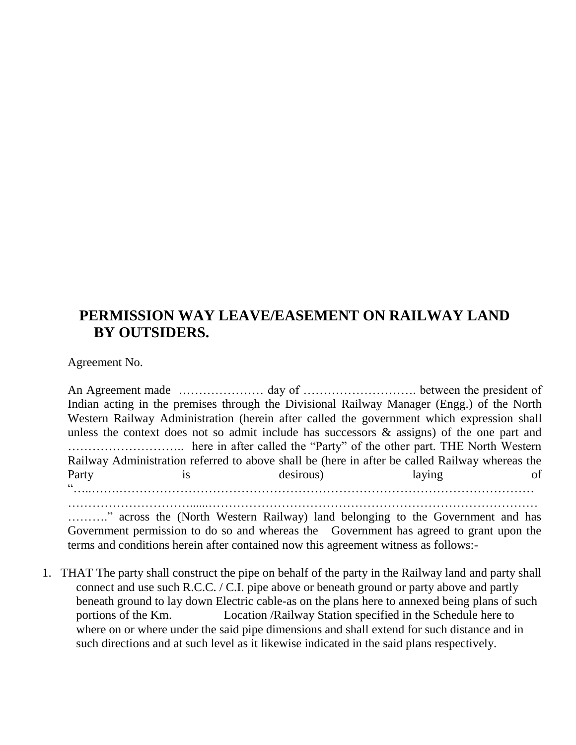## **PERMISSION WAY LEAVE/EASEMENT ON RAILWAY LAND BY OUTSIDERS.**

Agreement No.

An Agreement made ………………… day of ………………………. between the president of Indian acting in the premises through the Divisional Railway Manager (Engg.) of the North Western Railway Administration (herein after called the government which expression shall unless the context does not so admit include has successors & assigns) of the one part and ……………………….. here in after called the "Party" of the other part. THE North Western Railway Administration referred to above shall be (here in after be called Railway whereas the Party is desirous) laying of "…..…….…………………………………………………………………………………………

………." across the (North Western Railway) land belonging to the Government and has Government permission to do so and whereas the Government has agreed to grant upon the terms and conditions herein after contained now this agreement witness as follows:-

…………………………......………………………………………………………………………

1. THAT The party shall construct the pipe on behalf of the party in the Railway land and party shall connect and use such R.C.C. / C.I. pipe above or beneath ground or party above and partly beneath ground to lay down Electric cable-as on the plans here to annexed being plans of such portions of the Km. Location /Railway Station specified in the Schedule here to where on or where under the said pipe dimensions and shall extend for such distance and in such directions and at such level as it likewise indicated in the said plans respectively.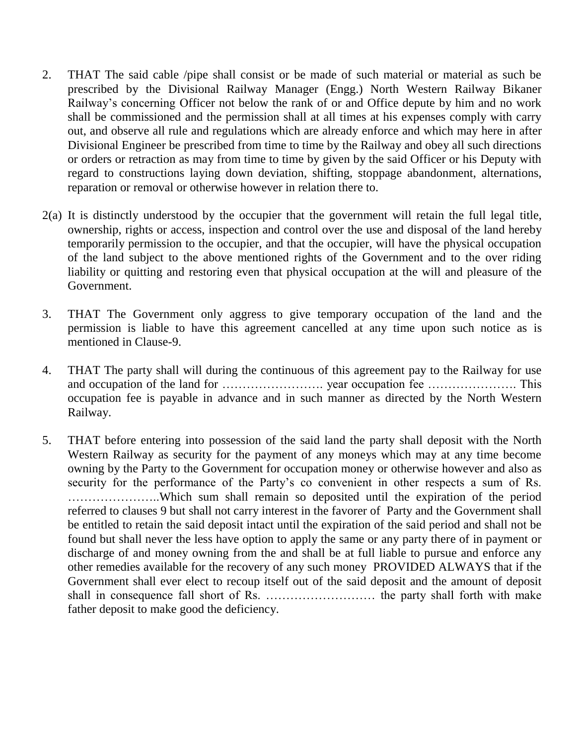- 2. THAT The said cable /pipe shall consist or be made of such material or material as such be prescribed by the Divisional Railway Manager (Engg.) North Western Railway Bikaner Railway's concerning Officer not below the rank of or and Office depute by him and no work shall be commissioned and the permission shall at all times at his expenses comply with carry out, and observe all rule and regulations which are already enforce and which may here in after Divisional Engineer be prescribed from time to time by the Railway and obey all such directions or orders or retraction as may from time to time by given by the said Officer or his Deputy with regard to constructions laying down deviation, shifting, stoppage abandonment, alternations, reparation or removal or otherwise however in relation there to.
- 2(a) It is distinctly understood by the occupier that the government will retain the full legal title, ownership, rights or access, inspection and control over the use and disposal of the land hereby temporarily permission to the occupier, and that the occupier, will have the physical occupation of the land subject to the above mentioned rights of the Government and to the over riding liability or quitting and restoring even that physical occupation at the will and pleasure of the Government.
- 3. THAT The Government only aggress to give temporary occupation of the land and the permission is liable to have this agreement cancelled at any time upon such notice as is mentioned in Clause-9.
- 4. THAT The party shall will during the continuous of this agreement pay to the Railway for use and occupation of the land for ……………………. year occupation fee …………………. This occupation fee is payable in advance and in such manner as directed by the North Western Railway.
- 5. THAT before entering into possession of the said land the party shall deposit with the North Western Railway as security for the payment of any moneys which may at any time become owning by the Party to the Government for occupation money or otherwise however and also as security for the performance of the Party's co convenient in other respects a sum of Rs. …………………..Which sum shall remain so deposited until the expiration of the period referred to clauses 9 but shall not carry interest in the favorer of Party and the Government shall be entitled to retain the said deposit intact until the expiration of the said period and shall not be found but shall never the less have option to apply the same or any party there of in payment or discharge of and money owning from the and shall be at full liable to pursue and enforce any other remedies available for the recovery of any such money PROVIDED ALWAYS that if the Government shall ever elect to recoup itself out of the said deposit and the amount of deposit shall in consequence fall short of Rs. ……………………… the party shall forth with make father deposit to make good the deficiency.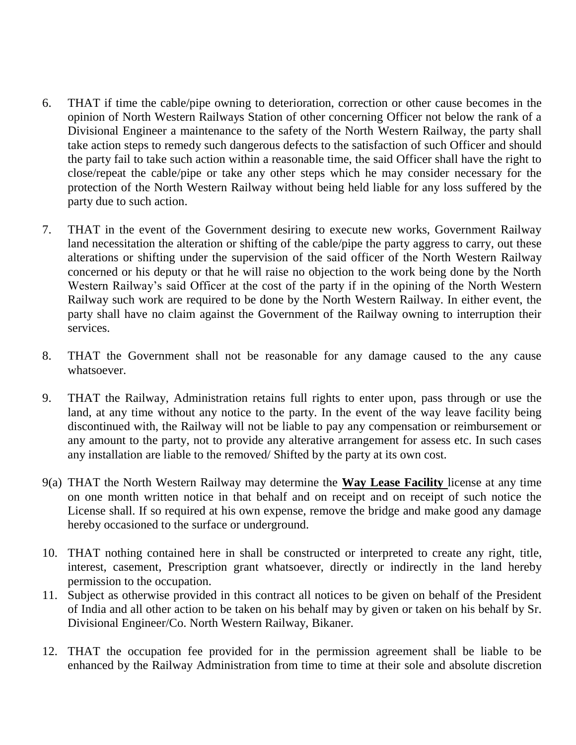- 6. THAT if time the cable/pipe owning to deterioration, correction or other cause becomes in the opinion of North Western Railways Station of other concerning Officer not below the rank of a Divisional Engineer a maintenance to the safety of the North Western Railway, the party shall take action steps to remedy such dangerous defects to the satisfaction of such Officer and should the party fail to take such action within a reasonable time, the said Officer shall have the right to close/repeat the cable/pipe or take any other steps which he may consider necessary for the protection of the North Western Railway without being held liable for any loss suffered by the party due to such action.
- 7. THAT in the event of the Government desiring to execute new works, Government Railway land necessitation the alteration or shifting of the cable/pipe the party aggress to carry, out these alterations or shifting under the supervision of the said officer of the North Western Railway concerned or his deputy or that he will raise no objection to the work being done by the North Western Railway's said Officer at the cost of the party if in the opining of the North Western Railway such work are required to be done by the North Western Railway. In either event, the party shall have no claim against the Government of the Railway owning to interruption their services.
- 8. THAT the Government shall not be reasonable for any damage caused to the any cause whatsoever.
- 9. THAT the Railway, Administration retains full rights to enter upon, pass through or use the land, at any time without any notice to the party. In the event of the way leave facility being discontinued with, the Railway will not be liable to pay any compensation or reimbursement or any amount to the party, not to provide any alterative arrangement for assess etc. In such cases any installation are liable to the removed/ Shifted by the party at its own cost.
- 9(a) THAT the North Western Railway may determine the **Way Lease Facility** license at any time on one month written notice in that behalf and on receipt and on receipt of such notice the License shall. If so required at his own expense, remove the bridge and make good any damage hereby occasioned to the surface or underground.
- 10. THAT nothing contained here in shall be constructed or interpreted to create any right, title, interest, casement, Prescription grant whatsoever, directly or indirectly in the land hereby permission to the occupation.
- 11. Subject as otherwise provided in this contract all notices to be given on behalf of the President of India and all other action to be taken on his behalf may by given or taken on his behalf by Sr. Divisional Engineer/Co. North Western Railway, Bikaner.
- 12. THAT the occupation fee provided for in the permission agreement shall be liable to be enhanced by the Railway Administration from time to time at their sole and absolute discretion